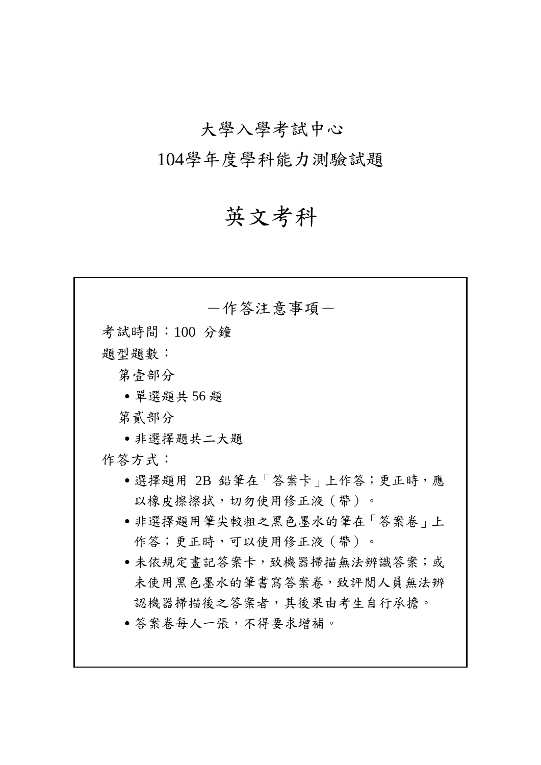# 大學入學考試中心

104學年度學科能力測驗試題

# 英文考科

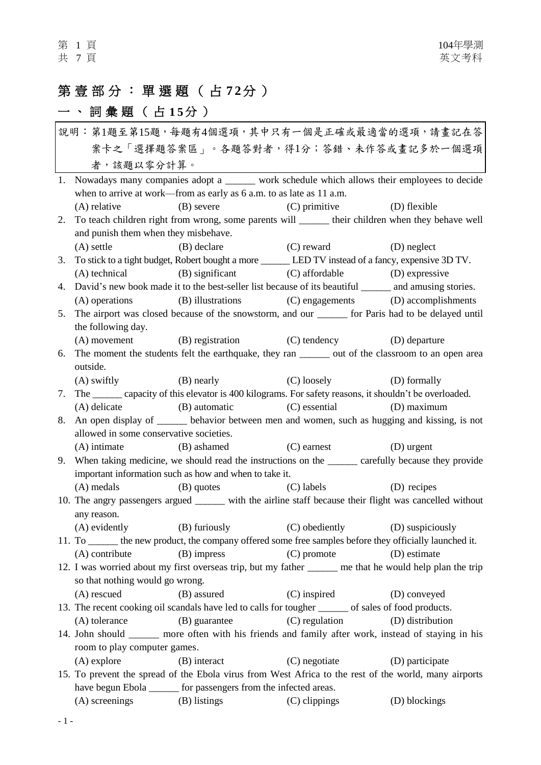# 第 壹 部 分 : 單 選 題 ( 占 **7 2**分 )

# 一、詞彙題 (占15分)

| 說明:第1題至第15題,每題有4個選項,其中只有一個是正確或最適當的選項,請畫記在答 |                                                                                                           |                                     |                  |  |
|--------------------------------------------|-----------------------------------------------------------------------------------------------------------|-------------------------------------|------------------|--|
| 案卡之「選擇題答案區」。各題答對者,得1分;答錯、未作答或畫記多於一個選項      |                                                                                                           |                                     |                  |  |
|                                            | 者,該題以零分計算。                                                                                                |                                     |                  |  |
|                                            | 1. Nowadays many companies adopt a ______ work schedule which allows their employees to decide            |                                     |                  |  |
|                                            | when to arrive at work—from as early as 6 a.m. to as late as 11 a.m.                                      |                                     |                  |  |
|                                            | (B) severe (C) primitive<br>(A) relative                                                                  |                                     | (D) flexible     |  |
| 2.                                         | To teach children right from wrong, some parents will ______ their children when they behave well         |                                     |                  |  |
|                                            | and punish them when they misbehave.                                                                      |                                     |                  |  |
|                                            | (A) settle (B) declare (C) reward                                                                         |                                     | (D) neglect      |  |
| 3.                                         | To stick to a tight budget, Robert bought a more _______ LED TV instead of a fancy, expensive 3D TV.      |                                     |                  |  |
|                                            | (A) technical (B) significant (C) affordable (D) expressive                                               |                                     |                  |  |
| 4.                                         | David's new book made it to the best-seller list because of its beautiful _______ and amusing stories.    |                                     |                  |  |
|                                            | (B) illustrations<br>(A) operations                                                                       | (C) engagements (D) accomplishments |                  |  |
| 5.                                         | The airport was closed because of the snowstorm, and our ______ for Paris had to be delayed until         |                                     |                  |  |
|                                            | the following day.                                                                                        |                                     |                  |  |
|                                            | (A) movement (B) registration (C) tendency (D) departure                                                  |                                     |                  |  |
| 6.                                         | The moment the students felt the earthquake, they ran _______ out of the classroom to an open area        |                                     |                  |  |
|                                            | outside.                                                                                                  |                                     |                  |  |
|                                            | $(A)$ swiftly $(B)$ nearly $(C)$ loosely                                                                  |                                     | (D) formally     |  |
| 7.                                         | The ______ capacity of this elevator is 400 kilograms. For safety reasons, it shouldn't be overloaded.    |                                     |                  |  |
|                                            | (A) delicate (B) automatic (C) essential (D) maximum                                                      |                                     |                  |  |
| 8.                                         | An open display of _______ behavior between men and women, such as hugging and kissing, is not            |                                     |                  |  |
|                                            | allowed in some conservative societies.                                                                   |                                     |                  |  |
|                                            | (A) intimate (B) ashamed (C) earnest                                                                      |                                     | (D) urgent       |  |
| 9.                                         | When taking medicine, we should read the instructions on the same carefully because they provide          |                                     |                  |  |
|                                            | important information such as how and when to take it.                                                    |                                     |                  |  |
|                                            | (A) medals (B) quotes                                                                                     | (C) labels (D) recipes              |                  |  |
|                                            | 10. The angry passengers argued ______ with the airline staff because their flight was cancelled without  |                                     |                  |  |
|                                            | any reason.                                                                                               |                                     |                  |  |
|                                            | (A) evidently (B) furiously (C) obediently (D) suspiciously                                               |                                     |                  |  |
|                                            | 11. To _______ the new product, the company offered some free samples before they officially launched it. |                                     |                  |  |
|                                            | (A) contribute<br>(B) impress                                                                             | $(C)$ promote                       | (D) estimate     |  |
|                                            | 12. I was worried about my first overseas trip, but my father _____ me that he would help plan the trip   |                                     |                  |  |
|                                            | so that nothing would go wrong.                                                                           |                                     |                  |  |
|                                            | (B) assured<br>(A) rescued                                                                                | $(C)$ inspired                      | (D) conveyed     |  |
|                                            | 13. The recent cooking oil scandals have led to calls for tougher ______ of sales of food products.       |                                     |                  |  |
|                                            | (A) tolerance (B) guarantee                                                                               | (C) regulation                      | (D) distribution |  |
|                                            | 14. John should _______ more often with his friends and family after work, instead of staying in his      |                                     |                  |  |
|                                            | room to play computer games.                                                                              |                                     |                  |  |
|                                            | (B) interact<br>$(A)$ explore                                                                             | (C) negotiate                       | (D) participate  |  |
|                                            | 15. To prevent the spread of the Ebola virus from West Africa to the rest of the world, many airports     |                                     |                  |  |
|                                            | have begun Ebola _______ for passengers from the infected areas.                                          |                                     |                  |  |
|                                            | (B) listings<br>(A) screenings                                                                            | (C) clippings                       | (D) blockings    |  |
|                                            |                                                                                                           |                                     |                  |  |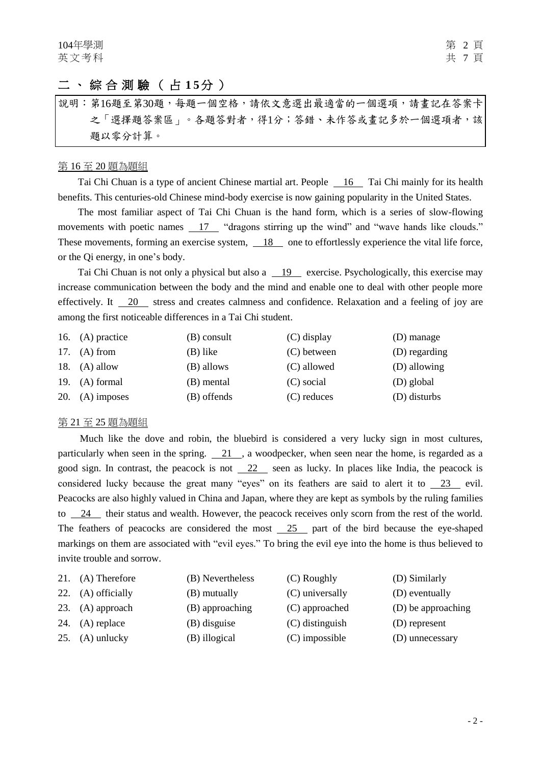### 二、綜合測驗 ( 占 **1 5**分 )

說明︰第16題至第30題,每題一個空格,請依文意選出最適當的一個選項,請畫記在答案卡 之「選擇題答案區」。各題答對者,得1分;答錯、未作答或畫記多於一個選項者,該 題以零分計算。

#### 第 16 至 20 題為題組

Tai Chi Chuan is a type of ancient Chinese martial art. People 16 Tai Chi mainly for its health benefits. This centuries-old Chinese mind-body exercise is now gaining popularity in the United States.

The most familiar aspect of Tai Chi Chuan is the hand form, which is a series of slow-flowing movements with poetic names 17 "dragons stirring up the wind" and "wave hands like clouds." These movements, forming an exercise system,  $\overline{18}$  one to effortlessly experience the vital life force, or the Qi energy, in one's body.

Tai Chi Chuan is not only a physical but also a  $19$  exercise. Psychologically, this exercise may increase communication between the body and the mind and enable one to deal with other people more effectively. It 20 stress and creates calmness and confidence. Relaxation and a feeling of joy are among the first noticeable differences in a Tai Chi student.

| 16. $(A)$ practice | $(B)$ consult | (C) display   | (D) manage    |
|--------------------|---------------|---------------|---------------|
| 17. $(A)$ from     | (B) like      | $(C)$ between | (D) regarding |
| 18. $(A)$ allow    | (B) allows    | (C) allowed   | (D) allowing  |
| 19. $(A)$ formal   | (B) mental    | (C) social    | (D) global    |
| 20. $(A)$ imposes  | (B) offends   | $(C)$ reduces | (D) disturbs  |

#### 第 21 至 25 題為題組

Much like the dove and robin, the bluebird is considered a very lucky sign in most cultures, particularly when seen in the spring.  $\boxed{21}$ , a woodpecker, when seen near the home, is regarded as a good sign. In contrast, the peacock is not  $\frac{22}{2}$  seen as lucky. In places like India, the peacock is considered lucky because the great many "eyes" on its feathers are said to alert it to 23 evil. Peacocks are also highly valued in China and Japan, where they are kept as symbols by the ruling families to 24 their status and wealth. However, the peacock receives only scorn from the rest of the world. The feathers of peacocks are considered the most  $\frac{25}{25}$  part of the bird because the eye-shaped markings on them are associated with "evil eyes." To bring the evil eye into the home is thus believed to invite trouble and sorrow.

| 21. $(A)$ Therefore | (B) Nevertheless | (C) Roughly       | (D) Similarly      |
|---------------------|------------------|-------------------|--------------------|
| 22. (A) officially  | (B) mutually     | (C) universally   | (D) eventually     |
| 23. (A) approach    | (B) approaching  | (C) approached    | (D) be approaching |
| 24. $(A)$ replace   | (B) disguise     | $(C)$ distinguish | (D) represent      |
| 25. $(A)$ unlucky   | (B) illogical    | $(C)$ impossible  | (D) unnecessary    |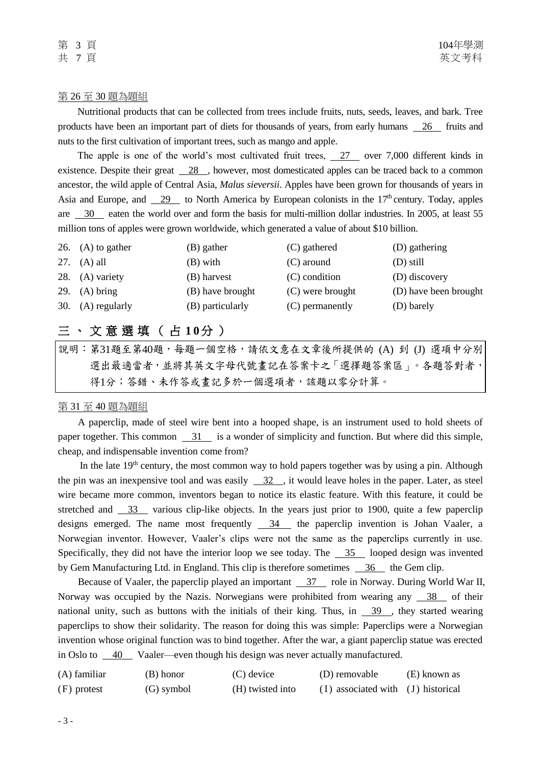#### 第 26 至 30 題為題組

Nutritional products that can be collected from trees include fruits, nuts, seeds, leaves, and bark. Tree products have been an important part of diets for thousands of years, from early humans 26 fruits and nuts to the first cultivation of important trees, such as mango and apple.

The apple is one of the world's most cultivated fruit trees, 27 over 7,000 different kinds in existence. Despite their great 28 , however, most domesticated apples can be traced back to a common ancestor, the wild apple of Central Asia, *Malus sieversii*. Apples have been grown for thousands of years in Asia and Europe, and  $\frac{29}{2}$  to North America by European colonists in the 17<sup>th</sup> century. Today, apples are 30 eaten the world over and form the basis for multi-million dollar industries. In 2005, at least 55 million tons of apples were grown worldwide, which generated a value of about \$10 billion.

| 26. $(A)$ to gather | (B) gather       | (C) gathered     | (D) gathering         |
|---------------------|------------------|------------------|-----------------------|
| 27. $(A)$ all       | (B) with         | $(C)$ around     | $(D)$ still           |
| 28. (A) variety     | (B) harvest      | $(C)$ condition  | (D) discovery         |
| 29. $(A)$ bring     | (B) have brought | (C) were brought | (D) have been brought |
| 30. (A) regularly   | (B) particularly | (C) permanently  | (D) barely            |

# 三、文意選填 ( 占 **1 0**分 )

說明:第31題至第40題,每題一個空格,請依文意在文章後所提供的 (A) 到 (J) 選項中分別 選出最適當者,並將其英文字母代號畫記在答案卡之「選擇題答案區」。各題答對者, 得1分;答錯、未作答或畫記多於一個選項者,該題以零分計算。

#### 第 31 至 40 題為題組

A paperclip, made of steel wire bent into a hooped shape, is an instrument used to hold sheets of paper together. This common  $\frac{31}{1}$  is a wonder of simplicity and function. But where did this simple, cheap, and indispensable invention come from?

In the late  $19<sup>th</sup>$  century, the most common way to hold papers together was by using a pin. Although the pin was an inexpensive tool and was easily  $\frac{32}{10}$ , it would leave holes in the paper. Later, as steel wire became more common, inventors began to notice its elastic feature. With this feature, it could be stretched and 33 various clip-like objects. In the years just prior to 1900, quite a few paperclip designs emerged. The name most frequently  $\frac{34}{4}$  the paperclip invention is Johan Vaaler, a Norwegian inventor. However, Vaaler's clips were not the same as the paperclips currently in use. Specifically, they did not have the interior loop we see today. The  $\frac{35}{100}$  looped design was invented by Gem Manufacturing Ltd. in England. This clip is therefore sometimes  $\frac{36}{100}$  the Gem clip.

Because of Vaaler, the paperclip played an important 37 role in Norway. During World War II, Norway was occupied by the Nazis. Norwegians were prohibited from wearing any  $\frac{38}{18}$  of their national unity, such as buttons with the initials of their king. Thus, in  $\frac{39}{10}$ , they started wearing paperclips to show their solidarity. The reason for doing this was simple: Paperclips were a Norwegian invention whose original function was to bind together. After the war, a giant paperclip statue was erected in Oslo to 40 Vaaler—even though his design was never actually manufactured.

| (A) familiar | (B) honor  | (C) device       | (D) removable                          | (E) known as |
|--------------|------------|------------------|----------------------------------------|--------------|
| (F) protest  | (G) symbol | (H) twisted into | $(I)$ associated with $(J)$ historical |              |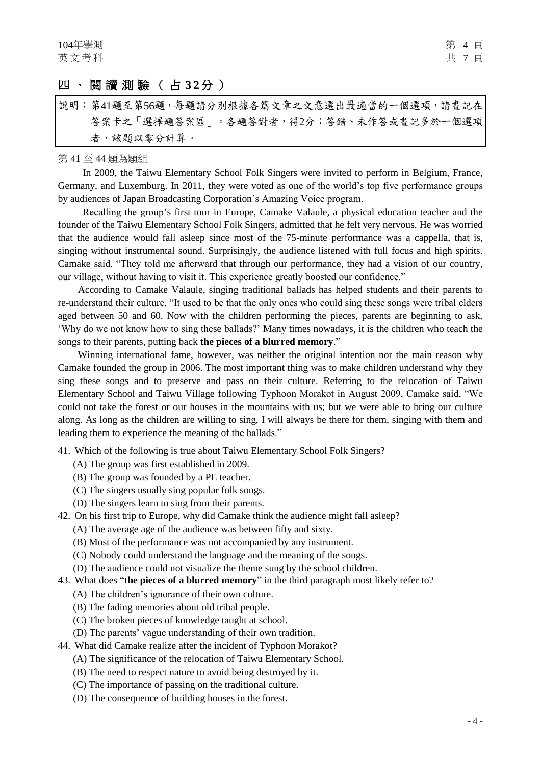## 四、閱讀測驗 ( 占 **3 2**分 )

# 說明︰第41題至第56題,每題請分別根據各篇文章之文意選出最適當的一個選項,請畫記在 答案卡之「選擇題答案區」。各題答對者,得2分;答錯、未作答或畫記多於一個選項 者,該題以零分計算。

#### 第 41 至 44 題為題組

In 2009, the Taiwu Elementary School Folk Singers were invited to perform in Belgium, France, Germany, and Luxemburg. In 2011, they were voted as one of the world's top five performance groups by audiences of Japan Broadcasting Corporation's Amazing Voice program.

Recalling the group's first tour in Europe, Camake Valaule, a physical education teacher and the founder of the Taiwu Elementary School Folk Singers, admitted that he felt very nervous. He was worried that the audience would fall asleep since most of the 75-minute performance was a cappella, that is, singing without [instrumental](http://en.wikipedia.org/wiki/Musical_instrument) sound. Surprisingly, the audience listened with full focus and high spirits. Camake said, "They told me afterward that through our performance, they had a vision of our country, our village, without having to visit it. This experience greatly boosted our confidence."

 According to Camake Valaule, singing traditional ballads has helped students and their parents to re-understand their culture. "It used to be that the only ones who could sing these songs were tribal elders aged between 50 and 60. Now with the children performing the pieces, parents are beginning to ask, 'Why do we not know how to sing these ballads?' Many times nowadays, it is the children who teach the songs to their parents, putting back **the pieces of a blurred memory**."

Winning international fame, however, was neither the original intention nor the main reason why Camake founded the group in 2006. The most important thing was to make children understand why they sing these songs and to preserve and pass on their culture. Referring to the relocation of Taiwu Elementary School and Taiwu Village following Typhoon Morakot in August 2009, Camake said, "We could not take the forest or our houses in the mountains with us; but we were able to bring our culture along. As long as the children are willing to sing, I will always be there for them, singing with them and leading them to experience the meaning of the ballads."

41. Which of the following is true about Taiwu Elementary School Folk Singers?

- (A) The group was first established in 2009.
- (B) The group was founded by a PE teacher.
- (C) The singers usually sing popular folk songs.
- (D) The singers learn to sing from their parents.
- 42. On his first trip to Europe, why did Camake think the audience might fall asleep?
	- (A) The average age of the audience was between fifty and sixty.
	- (B) Most of the performance was not accompanied by any instrument.
	- (C) Nobody could understand the language and the meaning of the songs.
	- (D) The audience could not visualize the theme sung by the school children.
- 43. What does "**the pieces of a blurred memory**" in the third paragraph most likely refer to?
	- (A) The children's ignorance of their own culture.
	- (B) The fading memories about old tribal people.
	- (C) The broken pieces of knowledge taught at school.
	- (D) The parents' vague understanding of their own tradition.
- 44. What did Camake realize after the incident of Typhoon Morakot?
	- (A) The significance of the relocation of Taiwu Elementary School.
	- (B) The need to respect nature to avoid being destroyed by it.
	- (C) The importance of passing on the traditional culture.
	- (D) The consequence of building houses in the forest.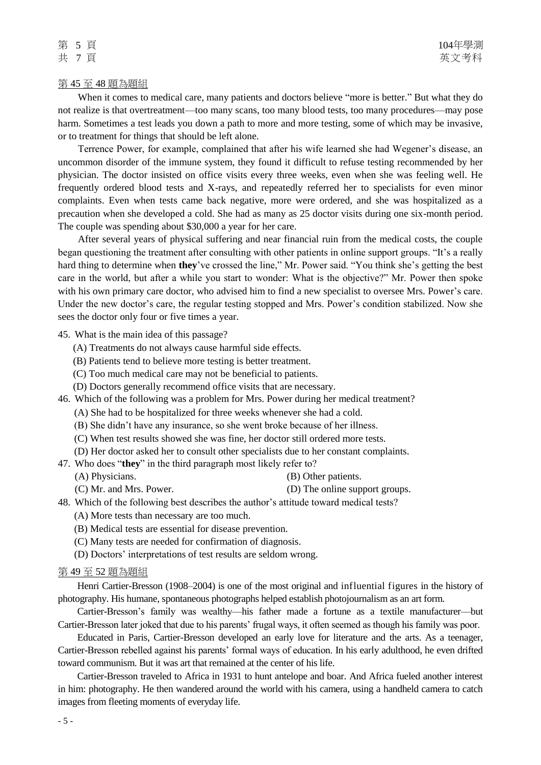#### 第 45 至 48 題為題組

When it comes to medical care, many patients and doctors believe "more is better." But what they do not realize is that overtreatment—too many scans, too many blood tests, too many procedures—may pose harm. Sometimes a test leads you down a path to more and more testing, some of which may be invasive, or to treatment for things that should be left alone.

Terrence Power, for example, complained that after his wife learned she had Wegener's disease, an uncommon disorder of the immune system, they found it difficult to refuse testing recommended by her physician. The doctor insisted on office visits every three weeks, even when she was feeling well. He frequently ordered blood tests and X-rays, and repeatedly referred her to specialists for even minor complaints. Even when tests came back negative, more were ordered, and she was hospitalized as a precaution when she developed a cold. She had as many as 25 doctor visits during one six-month period. The couple was spending about \$30,000 a year for her care.

After several years of physical suffering and near financial ruin from the medical costs, the couple began questioning the treatment after consulting with other patients in online support groups. "It's a really hard thing to determine when **they**'ve crossed the line," Mr. Power said. "You think she's getting the best care in the world, but after a while you start to wonder: What is the objective?" Mr. Power then spoke with his own primary care doctor, who advised him to find a new specialist to oversee Mrs. Power's care. Under the new doctor's care, the regular testing stopped and Mrs. Power's condition stabilized. Now she sees the doctor only four or five times a year.

#### 45. What is the main idea of this passage?

- (A) Treatments do not always cause harmful side effects.
- (B) Patients tend to believe more testing is better treatment.
- (C) Too much medical care may not be beneficial to patients.
- (D) Doctors generally recommend office visits that are necessary.
- 46. Which of the following was a problem for Mrs. Power during her medical treatment?
	- (A) She had to be hospitalized for three weeks whenever she had a cold.
	- (B) She didn't have any insurance, so she went broke because of her illness.
	- (C) When test results showed she was fine, her doctor still ordered more tests.
	- (D) Her doctor asked her to consult other specialists due to her constant complaints.
- 47. Who does "**they**" in the third paragraph most likely refer to?
	-
	- (A) Physicians. (B) Other patients.
	- (C) Mr. and Mrs. Power. (D) The online support groups.
- 48. Which of the following best describes the author's attitude toward medical tests?
	- (A) More tests than necessary are too much.
	- (B) Medical tests are essential for disease prevention.
	- (C) Many tests are needed for confirmation of diagnosis.
	- (D) Doctors' interpretations of test results are seldom wrong.

#### 第 49 至 52 題為題組

Henri Cartier-Bresson (1908–2004) is one of the most original and influential figures in the history of photography. His humane, spontaneous photographs helped establish photojournalism as an art form.

Cartier-Bresson's family was wealthy—his father made a fortune as a textile manufacturer—but Cartier-Bresson later joked that due to his parents' frugal ways, it often seemed as though his family was poor.

Educated in Paris, Cartier-Bresson developed an early love for literature and the arts. As a teenager, Cartier-Bresson rebelled against his parents' formal ways of education. In his early adulthood, he even drifted toward communism. But it was art that remained at the center of his life.

Cartier-Bresson traveled to Africa in 1931 to hunt antelope and boar. And Africa fueled another interest in him: photography. He then wandered around the world with his camera, using a handheld camera to catch images from fleeting moments of everyday life.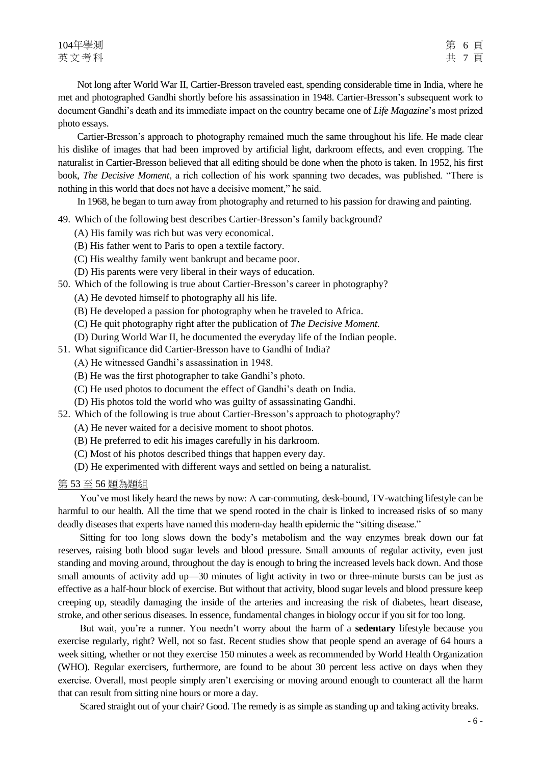Not long after World War II, Cartier-Bresson traveled east, spending considerable time in India, where he met and photographed Gandhi shortly before his assassination in 1948. Cartier-Bresson's subsequent work to document Gandhi's death and its immediate impact on the country became one of *Life Magazine*'s most prized photo essays.

Cartier-Bresson's approach to photography remained much the same throughout his life. He made clear his dislike of images that had been improved by artificial light, darkroom effects, and even cropping. The naturalist in Cartier-Bresson believed that all editing should be done when the photo is taken. In 1952, his first book, *The Decisive Moment*, a rich collection of his work spanning two decades, was published. "There is nothing in this world that does not have a decisive moment," he said.

In 1968, he began to turn away from photography and returned to his passion for drawing and painting.

49. Which of the following best describes Cartier-Bresson's family background?

- (A) His family was rich but was very economical.
- (B) His father went to Paris to open a textile factory.
- (C) His wealthy family went bankrupt and became poor.
- (D) His parents were very liberal in their ways of education.
- 50. Which of the following is true about Cartier-Bresson's career in photography?
	- (A) He devoted himself to photography all his life.
	- (B) He developed a passion for photography when he traveled to Africa.
	- (C) He quit photography right after the publication of *The Decisive Moment.*
	- (D) During World War II, he documented the everyday life of the Indian people.
- 51. What significance did Cartier-Bresson have to Gandhi of India?
	- (A) He witnessed Gandhi's assassination in 1948.
	- (B) He was the first photographer to take Gandhi's photo.
	- (C) He used photos to document the effect of Gandhi's death on India.
	- (D) His photos told the world who was guilty of assassinating Gandhi.
- 52. Which of the following is true about Cartier-Bresson's approach to photography?
	- (A) He never waited for a decisive moment to shoot photos.
	- (B) He preferred to edit his images carefully in his darkroom.
	- (C) Most of his photos described things that happen every day.
	- (D) He experimented with different ways and settled on being a naturalist.

#### 第 53 至 56 題為題組

You've most likely heard the news by now: A car-commuting, desk-bound, TV-watching lifestyle can be harmful to our health. All the time that we spend rooted in the chair is linked to increased risks of so many deadly diseases that experts have named this modern-day health epidemic the "sitting disease."

Sitting for too long slows down the body's metabolism and the way enzymes break down our fat reserves, raising both blood sugar levels and blood pressure. Small amounts of regular activity, even just standing and moving around, throughout the day is enough to bring the increased levels back down. And those small amounts of activity add up—30 minutes of light activity in two or three-minute bursts can be just as effective as a half-hour block of exercise. But without that activity, blood sugar levels and blood pressure keep creeping up, steadily damaging the inside of the arteries and increasing the risk of diabetes, heart disease, stroke, and other serious diseases. In essence, fundamental changes in biology occur if you sit for too long.

But wait, you're a runner. You needn't worry about the harm of a **sedentary** lifestyle because you exercise regularly, right? Well, not so fast. Recent studies show that people spend an average of 64 hours a week sitting, whether or not they exercise 150 minutes a week as recommended by World Health Organization (WHO). Regular exercisers, furthermore, are found to be about 30 percent less active on days when they exercise. Overall, most people simply aren't exercising or moving around enough to counteract all the harm that can result from sitting nine hours or more a day.

Scared straight out of your chair? Good. The remedy is as simple as standing up and taking activity breaks.